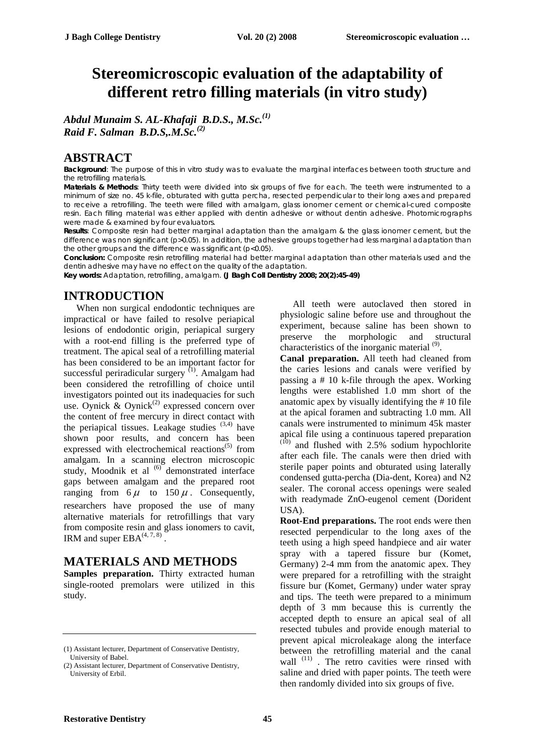# **Stereomicroscopic evaluation of the adaptability of different retro filling materials (in vitro study)**

*Abdul Munaim S. AL-Khafaji B.D.S., M.Sc.(1) Raid F. Salman B.D.S,.M.Sc.(2)*

### **ABSTRACT**

**Background**: The purpose of this in vitro study was to evaluate the marginal interfaces between tooth structure and the retrofilling materials.

**Materials & Methods**: Thirty teeth were divided into six groups of five for each. The teeth were instrumented to a minimum of size no. 45 k-file, obturated with gutta percha, resected perpendicular to their long axes and prepared to receive a retrofilling. The teeth were filled with amalgam, glass ionomer cement or chemical-cured composite resin. Each filling material was either applied with dentin adhesive or without dentin adhesive. Photomicrographs were made & examined by four evaluators.

**Results**: Composite resin had better marginal adaptation than the amalgam & the glass ionomer cement, but the difference was non significant (p>0.05). In addition, the adhesive groups together had less marginal adaptation than the other groups and the difference was significant (p<0.05).

**Conclusion:** Composite resin retrofilling material had better marginal adaptation than other materials used and the dentin adhesive may have no effect on the quality of the adaptation.

**Key words:** Adaptation, retrofilling, amalgam. **(J Bagh Coll Dentistry 2008; 20(2):45-49)**

# **INTRODUCTION**

When non surgical endodontic techniques are impractical or have failed to resolve periapical lesions of endodontic origin, periapical surgery with a root-end filling is the preferred type of treatment. The apical seal of a retrofilling material has been considered to be an important factor for successful periradicular surgery  $(1)$ . Amalgam had been considered the retrofilling of choice until investigators pointed out its inadequacies for such use. Oynick  $\&$  Oynick<sup>(2)</sup> expressed concern over the content of free mercury in direct contact with the periapical tissues. Leakage studies  $(3,4)$  have shown poor results, and concern has been expressed with electrochemical reactions $(5)$  from amalgam. In a scanning electron microscopic study, Moodnik et al  $^{(6)}$  demonstrated interface gaps between amalgam and the prepared root ranging from  $6 \mu$  to  $150 \mu$ . Consequently, researchers have proposed the use of many alternative materials for retrofillings that vary from composite resin and glass ionomers to cavit, IRM and super  $EBA^{(4, 7, 8)}$ .

#### **MATERIALS AND METHODS**

**Samples preparation.** Thirty extracted human single-rooted premolars were utilized in this study.

All teeth were autoclaved then stored in physiologic saline before use and throughout the experiment, because saline has been shown to preserve the morphologic and structural characteristics of the inorganic material<sup>(9)</sup>.

**Canal preparation.** All teeth had cleaned from the caries lesions and canals were verified by passing a # 10 k-file through the apex. Working lengths were established 1.0 mm short of the anatomic apex by visually identifying the # 10 file at the apical foramen and subtracting 1.0 mm. All canals were instrumented to minimum 45k master apical file using a continuous tapered preparation<br>(10) and  $\vec{r}$ and flushed with 2.5% sodium hypochlorite after each file. The canals were then dried with sterile paper points and obturated using laterally condensed gutta-percha (Dia-dent, Korea) and N2 sealer. The coronal access openings were sealed with readymade ZnO-eugenol cement (Dorident USA).

**Root-End preparations.** The root ends were then resected perpendicular to the long axes of the teeth using a high speed handpiece and air water spray with a tapered fissure bur (Komet, Germany) 2-4 mm from the anatomic apex. They were prepared for a retrofilling with the straight fissure bur (Komet, Germany) under water spray and tips. The teeth were prepared to a minimum depth of 3 mm because this is currently the accepted depth to ensure an apical seal of all resected tubules and provide enough material to prevent apical microleakage along the interface between the retrofilling material and the canal wall  $(11)$ . The retro cavities were rinsed with saline and dried with paper points. The teeth were then randomly divided into six groups of five.

<sup>(1)</sup> Assistant lecturer, Department of Conservative Dentistry, University of Babel.

<sup>(2)</sup> Assistant lecturer, Department of Conservative Dentistry, University of Erbil.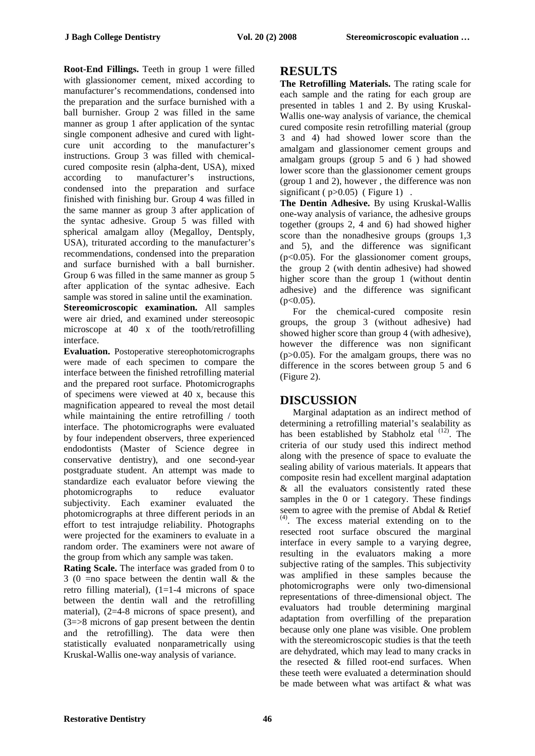**Root-End Fillings.** Teeth in group 1 were filled with glassionomer cement, mixed according to manufacturer's recommendations, condensed into the preparation and the surface burnished with a ball burnisher. Group 2 was filled in the same manner as group 1 after application of the syntac single component adhesive and cured with lightcure unit according to the manufacturer's instructions. Group  $\overline{3}$  was filled with chemicalcured composite resin (alpha-dent, USA), mixed according to manufacturer's instructions, condensed into the preparation and surface finished with finishing bur. Group 4 was filled in the same manner as group 3 after application of the syntac adhesive. Group 5 was filled with spherical amalgam alloy (Megalloy, Dentsply, USA), triturated according to the manufacturer's recommendations, condensed into the preparation and surface burnished with a ball burnisher. Group 6 was filled in the same manner as group 5 after application of the syntac adhesive. Each sample was stored in saline until the examination. **Stereomicroscopic examination.** All samples were air dried, and examined under stereosopic microscope at 40 x of the tooth/retrofilling interface.

**Evaluation.** Postoperative stereophotomicrographs were made of each specimen to compare the interface between the finished retrofilling material and the prepared root surface. Photomicrographs of specimens were viewed at 40 x, because this magnification appeared to reveal the most detail while maintaining the entire retrofilling / tooth interface. The photomicrographs were evaluated by four independent observers, three experienced endodontists (Master of Science degree in conservative dentistry), and one second-year postgraduate student. An attempt was made to standardize each evaluator before viewing the photomicrographs to reduce evaluator subjectivity. Each examiner evaluated the photomicrographs at three different periods in an effort to test intrajudge reliability. Photographs were projected for the examiners to evaluate in a random order. The examiners were not aware of the group from which any sample was taken.

**Rating Scale.** The interface was graded from 0 to 3 (0 =no space between the dentin wall & the retro filling material), (1=1-4 microns of space between the dentin wall and the retrofilling material), (2=4-8 microns of space present), and (3=>8 microns of gap present between the dentin and the retrofilling). The data were then statistically evaluated nonparametrically using Kruskal-Wallis one-way analysis of variance.

## **RESULTS**

**The Retrofilling Materials.** The rating scale for each sample and the rating for each group are presented in tables 1 and 2. By using Kruskal-Wallis one-way analysis of variance, the chemical cured composite resin retrofilling material (group 3 and 4) had showed lower score than the amalgam and glassionomer cement groups and amalgam groups (group 5 and 6 ) had showed lower score than the glassionomer cement groups (group 1 and 2), however , the difference was non significant ( $p>0.05$ ) (Figure 1).

**The Dentin Adhesive.** By using Kruskal-Wallis one-way analysis of variance, the adhesive groups together (groups 2, 4 and 6) had showed higher score than the nonadhesive groups (groups 1,3 and 5), and the difference was significant (p<0.05). For the glassionomer coment groups, the group 2 (with dentin adhesive) had showed higher score than the group 1 (without dentin adhesive) and the difference was significant  $(p<0.05)$ .

For the chemical-cured composite resin groups, the group 3 (without adhesive) had showed higher score than group 4 (with adhesive), however the difference was non significant (p>0.05). For the amalgam groups, there was no difference in the scores between group 5 and 6 (Figure 2).

# **DISCUSSION**

Marginal adaptation as an indirect method of determining a retrofilling material's sealability as has been established by Stabholz etal <sup>(12)</sup>. The criteria of our study used this indirect method along with the presence of space to evaluate the sealing ability of various materials. It appears that composite resin had excellent marginal adaptation & all the evaluators consistently rated these samples in the 0 or 1 category. These findings seem to agree with the premise of Abdal & Retief (4). The excess material extending on to the resected root surface obscured the marginal interface in every sample to a varying degree, resulting in the evaluators making a more subjective rating of the samples. This subjectivity was amplified in these samples because the photomicrographs were only two-dimensional representations of three-dimensional object. The evaluators had trouble determining marginal adaptation from overfilling of the preparation because only one plane was visible. One problem with the stereomicroscopic studies is that the teeth are dehydrated, which may lead to many cracks in the resected & filled root-end surfaces. When these teeth were evaluated a determination should be made between what was artifact & what was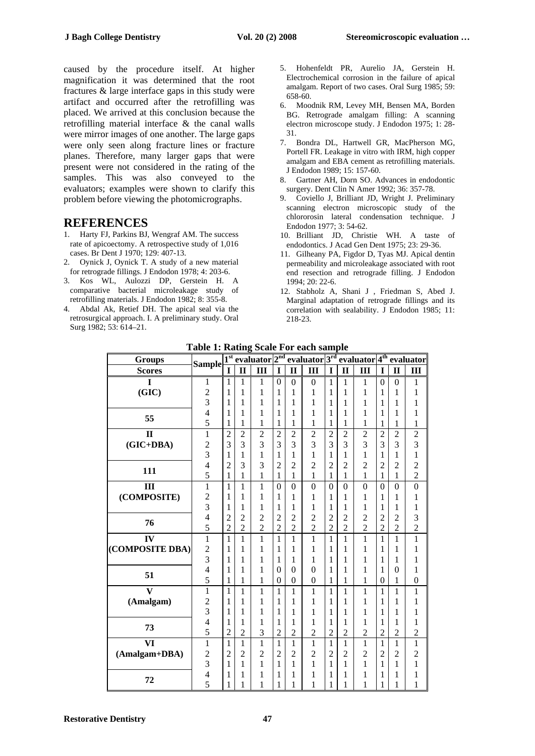caused by the procedure itself. At higher magnification it was determined that the root fractures & large interface gaps in this study were artifact and occurred after the retrofilling was placed. We arrived at this conclusion because the retrofilling material interface & the canal walls were mirror images of one another. The large gaps were only seen along fracture lines or fracture planes. Therefore, many larger gaps that were present were not considered in the rating of the samples. This was also conveyed to the evaluators; examples were shown to clarify this problem before viewing the photomicrographs.

- 1. Harty FJ, Parkins BJ, Wengraf AM. The success rate of apicoectomy. A retrospective study of 1,016 cases. Br Dent J 1970; 129: 407-13.
- 2. Oynick J, Oynick T. A study of a new material for retrograde fillings. J Endodon 1978; 4: 203-6.
- 3. Kos WL, Aulozzi DP, Gerstein H. A comparative bacterial microleakage study of retrofilling materials. J Endodon 1982; 8: 355-8.
- 4. Abdal Ak, Retief DH. The apical seal via the retrosurgical approach. I. A preliminary study. Oral Surg 1982; 53: 614–21.
- 5. Hohenfeldt PR, Aurelio JA, Gerstein H. Electrochemical corrosion in the failure of apical amalgam. Report of two cases. Oral Surg 1985; 59: 658-60.
- 6. Moodnik RM, Levey MH, Bensen MA, Borden BG. Retrograde amalgam filling: A scanning electron microscope study. J Endodon 1975; 1: 28- 31.
- 7. Bondra DL, Hartwell GR, MacPherson MG, Portell FR. Leakage in vitro with IRM, high copper amalgam and EBA cement as retrofilling materials. J Endodon 1989; 15: 157-60.
- 8. Gartner AH, Dorn SO. Advances in endodontic surgery. Dent Clin N Amer 1992; 36: 357-78.
- 9. Coviello J, Brilliant JD, Wright J. Preliminary scanning electron microscopic study of the **REFERENCES** chlororosin lateral condensation technique. J<br>Endodon 1977; 3: 54-62.
	- 10. Brilliant JD, Christie WH. A taste of endodontics. J Acad Gen Dent 1975; 23: 29-36.
	- 11. Gilheany PA, Figdor D, Tyas MJ. Apical dentin permeability and microleakage associated with root end resection and retrograde filling. J Endodon 1994; 20: 22-6.
	- 12. Stabholz A, Shani J , Friedman S, Abed J. Marginal adaptation of retrograde fillings and its correlation with sealability. J Endodon 1985; 11: 218-23.

|                         | Table 1. Raulig          |                                              |                |                |                           |                         | <b>SCAIT FUL TALIS SAMPLE</b> |                |                                        |                |                  |                |                  |
|-------------------------|--------------------------|----------------------------------------------|----------------|----------------|---------------------------|-------------------------|-------------------------------|----------------|----------------------------------------|----------------|------------------|----------------|------------------|
| <b>Groups</b>           | <b>Sample</b>            | evaluator 2 <sup>nd</sup><br>1 <sup>st</sup> |                |                | evaluator 3 <sup>rd</sup> |                         |                               |                | evaluator 4 <sup>th</sup><br>evaluator |                |                  |                |                  |
| <b>Scores</b>           |                          | I                                            | $\mathbf{I}$   | III            | $\mathbf I$               | $\overline{\mathbf{u}}$ | III                           | I              | $\overline{\mathbf{u}}$                | Ш              | I                | $\mathbf{I}$   | III              |
| I                       | 1                        | 1                                            | 1              | $\mathbf{1}$   | $\mathbf{0}$              | $\mathbf{0}$            | $\boldsymbol{0}$              | $\mathbf{1}$   | 1                                      | $\mathbf{1}$   | $\mathbf{0}$     | $\theta$       | 1                |
| (GIC)                   | $\overline{c}$           | 1                                            | 1              | $\mathbf{1}$   | 1                         | 1                       | 1                             | 1              | 1                                      | 1              | 1                | 1              | 1                |
|                         | $\overline{\mathbf{3}}$  | 1                                            | 1              | $\mathbf{1}$   | 1                         | 1                       | 1                             | 1              | 1                                      | 1              | 1                | 1              | $\mathbf{1}$     |
| 55                      | $\overline{4}$           | 1                                            | 1              | $\mathbf{1}$   | 1                         | 1                       | 1                             | 1              | 1                                      | 1              | 1                | 1              | $\mathbf{1}$     |
|                         | 5                        | 1                                            | 1              | $\mathbf{1}$   | $\mathbf{1}$              | 1                       | 1                             | $\mathbf{1}$   | 1                                      | 1              | 1                | 1              | $\mathbf{1}$     |
| $\mathbf{I}$            | $\mathbf{1}$             | $\overline{2}$                               | $\overline{c}$ | $\overline{c}$ | $\overline{c}$            | $\overline{c}$          | $\overline{c}$                | $\overline{c}$ | $\overline{c}$                         | $\overline{2}$ | $\overline{c}$   | $\overline{c}$ | $\frac{2}{3}$    |
| $(GIC+DBA)$             | $\overline{2}$           | $\overline{3}$                               | 3              | 3              | 3                         | $\overline{3}$          | $\overline{3}$                | $\overline{3}$ | $\overline{3}$                         | $\overline{3}$ | $\overline{3}$   | $\overline{3}$ |                  |
|                         | $\overline{3}$           | 1                                            | 1              | $\mathbf{1}$   | 1                         | 1                       | $\mathbf{1}$                  | $\mathbf{1}$   | 1                                      | $\mathbf{1}$   | 1                | 1              | $\mathbf{1}$     |
| 111                     | $\overline{4}$           | $\overline{2}$                               | 3              | 3              | $\overline{2}$            | $\overline{2}$          | $\overline{2}$                | $\overline{2}$ | $\overline{2}$                         | $\overline{2}$ | $\overline{2}$   | $\overline{2}$ | $\frac{2}{2}$    |
|                         | 5                        | 1                                            | 1              | $\mathbf{1}$   | 1                         | 1                       | $\mathbf{1}$                  | 1              | 1                                      | $\mathbf{1}$   | $\mathbf{1}$     | 1              |                  |
| III                     | $\mathbf{1}$             | $\mathbf{1}$                                 | $\mathbf{1}$   | $\mathbf{1}$   | $\overline{0}$            | $\overline{0}$          | $\overline{0}$                | $\overline{0}$ | $\overline{0}$                         | $\overline{0}$ | $\overline{0}$   | $\overline{0}$ | $\mathbf{0}$     |
| (COMPOSITE)             | $\overline{c}$           | 1                                            | 1              | $\mathbf{1}$   | 1                         | 1                       | 1                             | 1              | 1                                      | 1              | 1                | 1              | $\mathbf{1}$     |
|                         | $\overline{3}$           | $\mathbf{1}$                                 | 1              | $\mathbf{1}$   | 1                         | 1                       | 1                             | 1              | 1                                      | 1              | 1                | 1              | $\mathbf{1}$     |
| 76                      | $\overline{4}$           | $\overline{c}$                               | $\overline{c}$ | $\overline{c}$ | $\overline{c}$            | $\overline{c}$          | $\overline{c}$                | $\overline{c}$ | $\overline{c}$                         | $\overline{c}$ | $\overline{2}$   | $\overline{2}$ | 3                |
|                         | 5                        | $\overline{2}$                               | $\overline{2}$ | $\overline{2}$ | $\overline{2}$            | $\overline{2}$          | $\overline{2}$                | $\overline{2}$ | $\overline{2}$                         | $\overline{2}$ | $\overline{2}$   | $\overline{2}$ | $\overline{2}$   |
| IV                      | $\overline{1}$           | $\overline{1}$                               | $\mathbf{1}$   | $\mathbf{1}$   | $\mathbf{1}$              | $\mathbf{1}$            | $\mathbf{1}$                  | $\mathbf{1}$   | $\overline{1}$                         | $\overline{1}$ | $\mathbf{1}$     | $\mathbf{1}$   | $\overline{1}$   |
| (COMPOSITE DBA)         | $\frac{2}{3}$            | 1                                            | 1              | 1              | 1                         | 1                       | 1                             | 1              | 1                                      | 1              | 1                | 1              | $\mathbf{1}$     |
|                         |                          | 1                                            | 1              | $\mathbf{1}$   | 1                         | 1                       | 1                             | 1              | 1                                      | $\mathbf{1}$   | 1                | 1              | $\mathbf{1}$     |
| 51                      | $\overline{4}$           | $\mathbf{1}$                                 | 1              | $\mathbf{1}$   | $\overline{0}$            | $\theta$                | $\overline{0}$                | 1              | 1                                      | 1              | 1                | $\overline{0}$ | $\mathbf{1}$     |
|                         | 5                        | $\mathbf{1}$                                 | 1              | $\mathbf{1}$   | $\boldsymbol{0}$          | $\boldsymbol{0}$        | $\boldsymbol{0}$              | $\mathbf{1}$   | 1                                      | $\mathbf{1}$   | $\boldsymbol{0}$ | 1              | $\boldsymbol{0}$ |
| $\overline{\mathbf{V}}$ | $\overline{1}$           | $\mathbf{1}$                                 | 1              | $\mathbf{1}$   | $\mathbf{1}$              | $\mathbf{1}$            | $\mathbf{1}$                  | $\mathbf{1}$   | 1                                      | $\mathbf{1}$   | $\mathbf{1}$     | 1              | $\mathbf{1}$     |
| (Amalgam)               | $\overline{c}$           | 1                                            | 1              | $\mathbf{1}$   | 1                         | 1                       | 1                             | $\mathbf{1}$   | 1                                      | 1              | 1                | 1              | $\mathbf{1}$     |
|                         | $\overline{3}$           | 1                                            | 1              | $\mathbf{1}$   | 1                         | 1                       | 1                             | 1              | 1                                      | 1              | 1                | 1              | 1                |
| 73                      | $\overline{4}$           | 1                                            | 1              | 1              | 1                         | 1                       | $\mathbf{1}$                  | 1              | 1                                      | $\mathbf{1}$   | 1                | 1              | $\mathbf{1}$     |
|                         | 5                        | $\overline{2}$                               | $\overline{2}$ | 3              | $\overline{2}$            | $\overline{2}$          | $\overline{c}$                | $\overline{c}$ | $\overline{2}$                         | $\overline{2}$ | $\overline{2}$   | $\overline{2}$ | $\overline{2}$   |
| VI                      | $\mathbf{1}$             | $\mathbf{1}$                                 | $\mathbf{1}$   | $\mathbf{1}$   | $\mathbf{1}$              | $\mathbf{1}$            | $\mathbf{1}$                  | $\mathbf{1}$   | $\mathbf{1}$                           | $\mathbf{1}$   | $\mathbf{1}$     | $\mathbf{1}$   | $\mathbf{1}$     |
| (Amalgam+DBA)           | $\overline{c}$           | $\overline{2}$                               | $\overline{c}$ | $\overline{c}$ | $\overline{2}$            | $\overline{2}$          | $\overline{c}$                | $\overline{c}$ | $\overline{2}$                         | $\overline{c}$ | $\overline{c}$   | $\overline{c}$ | $\frac{2}{1}$    |
|                         | $\overline{3}$           | $\mathbf{1}$                                 | $\mathbf{1}$   | $\mathbf{1}$   | $\mathbf{1}$              | $\mathbf{1}$            | $\mathbf{1}$                  | $\mathbf{1}$   | $\mathbf{1}$                           | $\mathbf{1}$   | $\mathbf{1}$     | $\mathbf{1}$   |                  |
| 72                      | $\overline{\mathcal{L}}$ | 1                                            | 1              | $\mathbf{1}$   | 1                         | 1                       | $\mathbf{1}$                  | 1              | 1                                      | 1              | 1                | 1              | $\mathbf 1$      |
|                         | 5                        | 1                                            | 1              | 1              | $\mathbf{1}$              | 1                       | 1                             | $\mathbf{1}$   | 1                                      | 1              | 1                | 1              | 1                |

**Table 1: Rating Scale For each sample**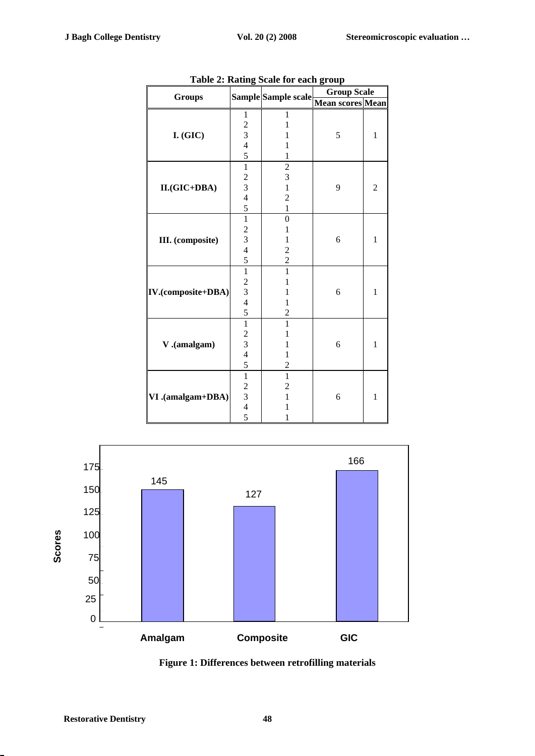| rudic 1            | $\cdots$                                        | $\frac{1}{2}$           | <b>Group Scale</b> |                |  |  |
|--------------------|-------------------------------------------------|-------------------------|--------------------|----------------|--|--|
| <b>Groups</b>      |                                                 | Sample Sample scale     | Mean scores Mean   |                |  |  |
| $I.$ (GIC)         | $\mathbf{1}$                                    | 1                       |                    |                |  |  |
|                    | $\overline{\mathbf{c}}$                         | 1                       |                    |                |  |  |
|                    |                                                 | 1                       | 5                  | $\mathbf{1}$   |  |  |
|                    | $\frac{3}{4}$                                   | 1                       |                    |                |  |  |
|                    | $\overline{5}$                                  | $\mathbf 1$             |                    |                |  |  |
|                    | $\overline{1}$                                  | $\overline{c}$          |                    |                |  |  |
|                    |                                                 | 3                       |                    | $\overline{c}$ |  |  |
| II.(GIC+DBA)       |                                                 | $\mathbf 1$             | 9                  |                |  |  |
|                    |                                                 | $\overline{c}$          |                    |                |  |  |
|                    | $\frac{2}{3}$ 4 5 $\frac{5}{1}$                 | $\mathbf{1}$            |                    |                |  |  |
| III. (composite)   |                                                 | $\overline{0}$          |                    | $\mathbf{1}$   |  |  |
|                    |                                                 | 1                       |                    |                |  |  |
|                    |                                                 | $\mathbf{1}$            | 6                  |                |  |  |
|                    |                                                 | $\overline{c}$          |                    |                |  |  |
|                    | $\frac{2}{3}$ 4 5 1                             | $\overline{c}$          |                    |                |  |  |
|                    |                                                 | $\mathbf{1}$            |                    | $\mathbf{1}$   |  |  |
|                    |                                                 | 1                       |                    |                |  |  |
| IV.(composite+DBA) |                                                 | 1                       | 6                  |                |  |  |
|                    |                                                 | 1                       |                    |                |  |  |
|                    | $\frac{2}{3}$ 4 5 $\frac{5}{1}$                 | $\overline{2}$          |                    |                |  |  |
|                    |                                                 | $\mathbf{1}$            |                    | $\mathbf{1}$   |  |  |
|                    |                                                 | 1                       |                    |                |  |  |
| V.(amalgam)        |                                                 | $\mathbf{1}$            | 6                  |                |  |  |
|                    |                                                 | $\mathbf{1}$            |                    |                |  |  |
|                    | $\frac{2}{3}$ 4 5 1                             | $\overline{\mathbf{c}}$ |                    |                |  |  |
|                    |                                                 | $\overline{1}$          |                    |                |  |  |
|                    | $\begin{array}{c} 2 \\ 3 \\ 4 \\ 5 \end{array}$ | $\overline{c}$          |                    | $\mathbf{1}$   |  |  |
| VI .(amalgam+DBA)  |                                                 | $\mathbf{1}$            | 6                  |                |  |  |
|                    |                                                 | 1                       |                    |                |  |  |
|                    |                                                 | 1                       |                    |                |  |  |

**Table 2: Rating Scale for each group** 



**Figure 1: Differences between retrofilling materials**